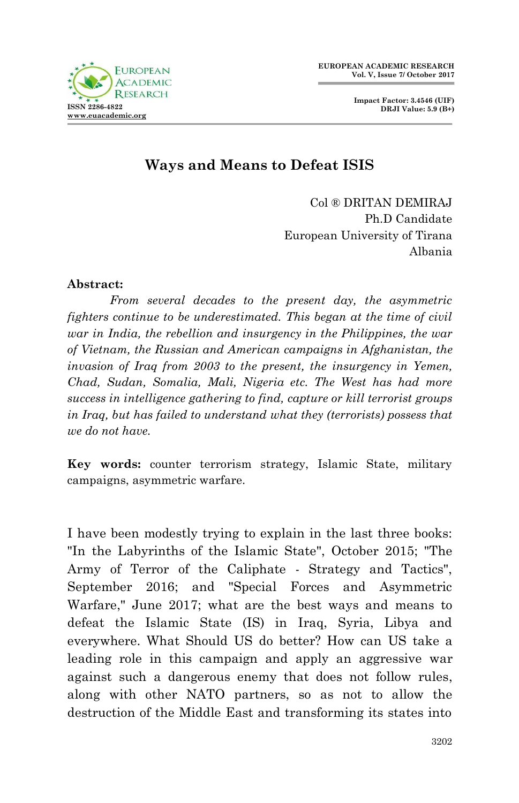**Impact Factor: 3.4546 (UIF) DRJI Value: 5.9 (B+)**



# **Ways and Means to Defeat ISIS**

Col ® DRITAN DEMIRAJ Ph.D Candidate European University of Tirana Albania

#### **Abstract:**

*From several decades to the present day, the asymmetric fighters continue to be underestimated. This began at the time of civil war in India, the rebellion and insurgency in the Philippines, the war of Vietnam, the Russian and American campaigns in Afghanistan, the invasion of Iraq from 2003 to the present, the insurgency in Yemen, Chad, Sudan, Somalia, Mali, Nigeria etc. The West has had more success in intelligence gathering to find, capture or kill terrorist groups in Iraq, but has failed to understand what they (terrorists) possess that we do not have.*

**Key words:** counter terrorism strategy, Islamic State, military campaigns, asymmetric warfare.

I have been modestly trying to explain in the last three books: "In the Labyrinths of the Islamic State", October 2015; "The Army of Terror of the Caliphate - Strategy and Tactics", September 2016; and "Special Forces and Asymmetric Warfare," June 2017; what are the best ways and means to defeat the Islamic State (IS) in Iraq, Syria, Libya and everywhere. What Should US do better? How can US take a leading role in this campaign and apply an aggressive war against such a dangerous enemy that does not follow rules, along with other NATO partners, so as not to allow the destruction of the Middle East and transforming its states into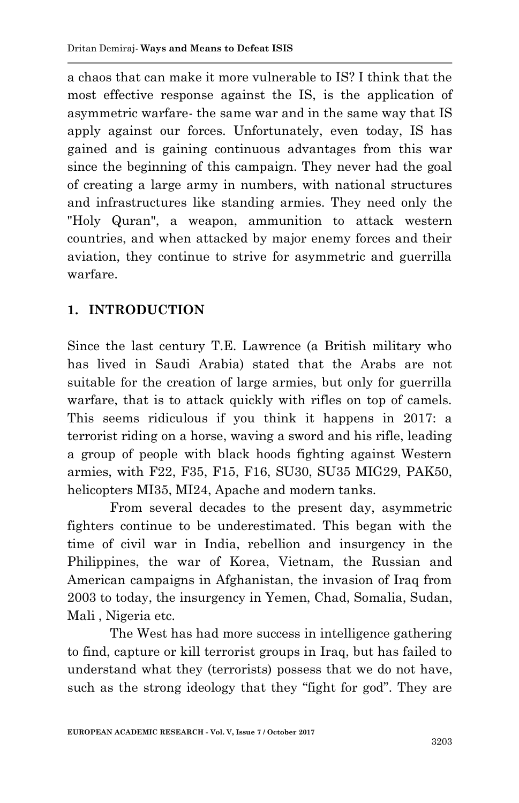a chaos that can make it more vulnerable to IS? I think that the most effective response against the IS, is the application of asymmetric warfare- the same war and in the same way that IS apply against our forces. Unfortunately, even today, IS has gained and is gaining continuous advantages from this war since the beginning of this campaign. They never had the goal of creating a large army in numbers, with national structures and infrastructures like standing armies. They need only the "Holy Quran", a weapon, ammunition to attack western countries, and when attacked by major enemy forces and their aviation, they continue to strive for asymmetric and guerrilla warfare.

## **1. INTRODUCTION**

Since the last century T.E. Lawrence (a British military who has lived in Saudi Arabia) stated that the Arabs are not suitable for the creation of large armies, but only for guerrilla warfare, that is to attack quickly with rifles on top of camels. This seems ridiculous if you think it happens in 2017: a terrorist riding on a horse, waving a sword and his rifle, leading a group of people with black hoods fighting against Western armies, with F22, F35, F15, F16, SU30, SU35 MIG29, PAK50, helicopters MI35, MI24, Apache and modern tanks.

From several decades to the present day, asymmetric fighters continue to be underestimated. This began with the time of civil war in India, rebellion and insurgency in the Philippines, the war of Korea, Vietnam, the Russian and American campaigns in Afghanistan, the invasion of Iraq from 2003 to today, the insurgency in Yemen, Chad, Somalia, Sudan, Mali , Nigeria etc.

The West has had more success in intelligence gathering to find, capture or kill terrorist groups in Iraq, but has failed to understand what they (terrorists) possess that we do not have, such as the strong ideology that they "fight for god". They are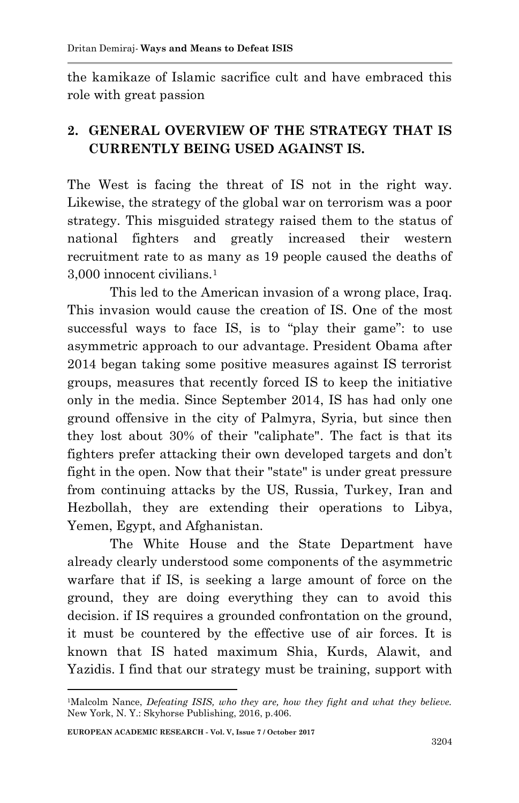the kamikaze of Islamic sacrifice cult and have embraced this role with great passion

## **2. GENERAL OVERVIEW OF THE STRATEGY THAT IS CURRENTLY BEING USED AGAINST IS.**

The West is facing the threat of IS not in the right way. Likewise, the strategy of the global war on terrorism was a poor strategy. This misguided strategy raised them to the status of national fighters and greatly increased their western recruitment rate to as many as 19 people caused the deaths of 3,000 innocent civilians.<sup>1</sup>

This led to the American invasion of a wrong place, Iraq. This invasion would cause the creation of IS. One of the most successful ways to face IS, is to "play their game": to use asymmetric approach to our advantage. President Obama after 2014 began taking some positive measures against IS terrorist groups, measures that recently forced IS to keep the initiative only in the media. Since September 2014, IS has had only one ground offensive in the city of Palmyra, Syria, but since then they lost about 30% of their "caliphate". The fact is that its fighters prefer attacking their own developed targets and don't fight in the open. Now that their "state" is under great pressure from continuing attacks by the US, Russia, Turkey, Iran and Hezbollah, they are extending their operations to Libya, Yemen, Egypt, and Afghanistan.

The White House and the State Department have already clearly understood some components of the asymmetric warfare that if IS, is seeking a large amount of force on the ground, they are doing everything they can to avoid this decision. if IS requires a grounded confrontation on the ground, it must be countered by the effective use of air forces. It is known that IS hated maximum Shia, Kurds, Alawit, and Yazidis. I find that our strategy must be training, support with

<sup>1</sup> <sup>1</sup>Malcolm Nance, *Defeating ISIS, who they are, how they fight and what they believe.* New York, N. Y.: Skyhorse Publishing, 2016, p.406.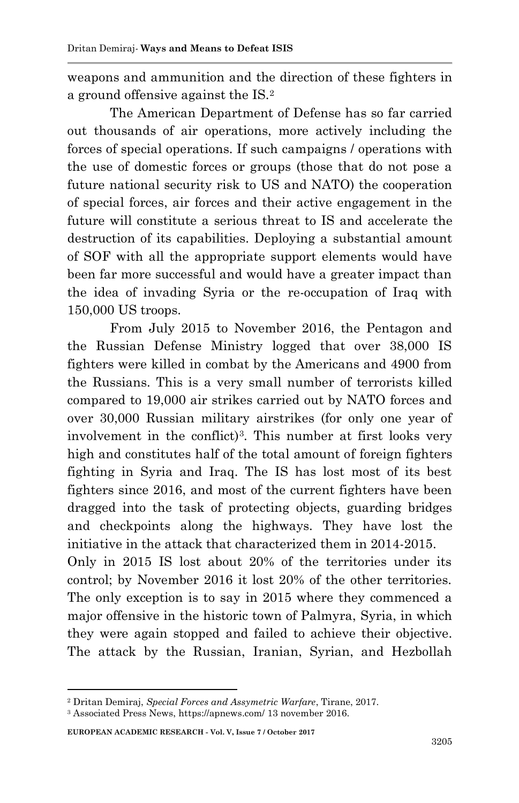weapons and ammunition and the direction of these fighters in a ground offensive against the IS.<sup>2</sup>

The American Department of Defense has so far carried out thousands of air operations, more actively including the forces of special operations. If such campaigns / operations with the use of domestic forces or groups (those that do not pose a future national security risk to US and NATO) the cooperation of special forces, air forces and their active engagement in the future will constitute a serious threat to IS and accelerate the destruction of its capabilities. Deploying a substantial amount of SOF with all the appropriate support elements would have been far more successful and would have a greater impact than the idea of invading Syria or the re-occupation of Iraq with 150,000 US troops.

From July 2015 to November 2016, the Pentagon and the Russian Defense Ministry logged that over 38,000 IS fighters were killed in combat by the Americans and 4900 from the Russians. This is a very small number of terrorists killed compared to 19,000 air strikes carried out by NATO forces and over 30,000 Russian military airstrikes (for only one year of involvement in the conflict)<sup>3</sup>. This number at first looks very high and constitutes half of the total amount of foreign fighters fighting in Syria and Iraq. The IS has lost most of its best fighters since 2016, and most of the current fighters have been dragged into the task of protecting objects, guarding bridges and checkpoints along the highways. They have lost the initiative in the attack that characterized them in 2014-2015. Only in 2015 IS lost about 20% of the territories under its control; by November 2016 it lost 20% of the other territories. The only exception is to say in 2015 where they commenced a major offensive in the historic town of Palmyra, Syria, in which they were again stopped and failed to achieve their objective.

The attack by the Russian, Iranian, Syrian, and Hezbollah

<sup>2</sup> Dritan Demiraj, *Special Forces and Assymetric Warfare*, Tirane, 2017.

<sup>3</sup> Associated Press News, https://apnews.com/ 13 november 2016.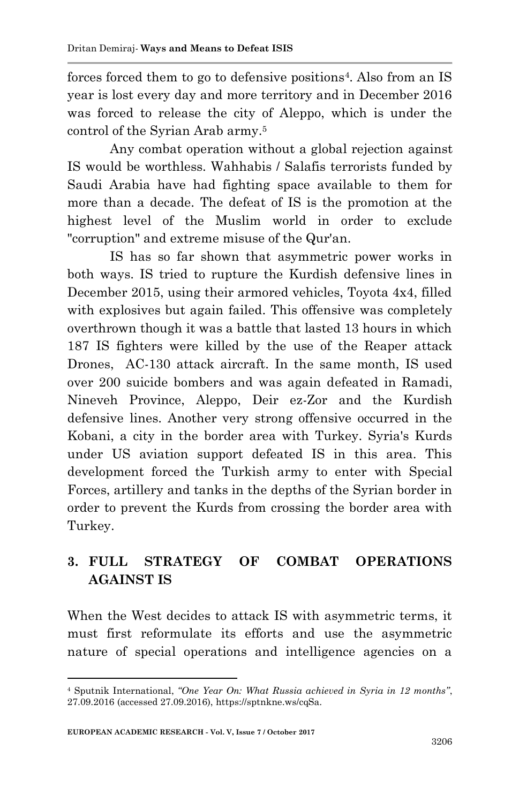forces forced them to go to defensive positions<sup>4</sup>. Also from an IS year is lost every day and more territory and in December 2016 was forced to release the city of Aleppo, which is under the control of the Syrian Arab army.<sup>5</sup>

Any combat operation without a global rejection against IS would be worthless. Wahhabis / Salafis terrorists funded by Saudi Arabia have had fighting space available to them for more than a decade. The defeat of IS is the promotion at the highest level of the Muslim world in order to exclude "corruption" and extreme misuse of the Qur'an.

IS has so far shown that asymmetric power works in both ways. IS tried to rupture the Kurdish defensive lines in December 2015, using their armored vehicles, Toyota 4x4, filled with explosives but again failed. This offensive was completely overthrown though it was a battle that lasted 13 hours in which 187 IS fighters were killed by the use of the Reaper attack Drones, AC-130 attack aircraft. In the same month, IS used over 200 suicide bombers and was again defeated in Ramadi, Nineveh Province, Aleppo, Deir ez-Zor and the Kurdish defensive lines. Another very strong offensive occurred in the Kobani, a city in the border area with Turkey. Syria's Kurds under US aviation support defeated IS in this area. This development forced the Turkish army to enter with Special Forces, artillery and tanks in the depths of the Syrian border in order to prevent the Kurds from crossing the border area with Turkey.

# **3. FULL STRATEGY OF COMBAT OPERATIONS AGAINST IS**

When the West decides to attack IS with asymmetric terms, it must first reformulate its efforts and use the asymmetric nature of special operations and intelligence agencies on a

<sup>4</sup> Sputnik International, *"One Year On: What Russia achieved in Syria in 12 months"*, 27.09.2016 (accessed 27.09.2016), https://sptnkne.ws/cqSa.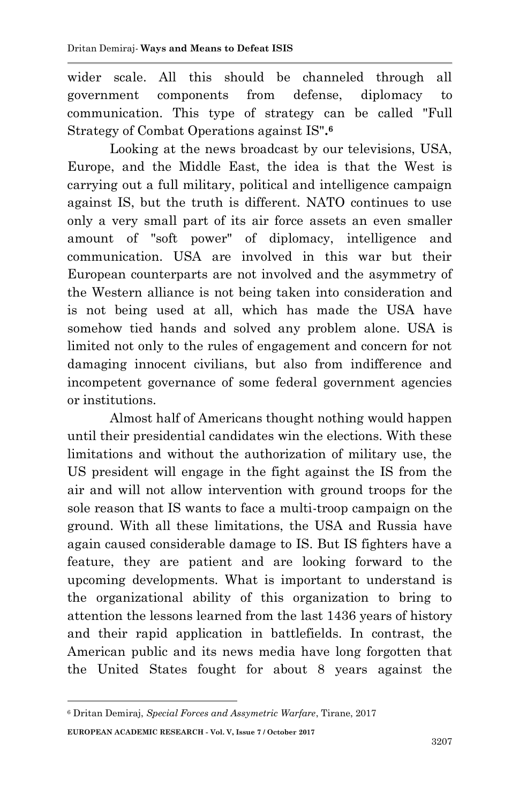wider scale. All this should be channeled through all government components from defense, diplomacy to communication. This type of strategy can be called "Full Strategy of Combat Operations against IS"**. 6**

Looking at the news broadcast by our televisions, USA, Europe, and the Middle East, the idea is that the West is carrying out a full military, political and intelligence campaign against IS, but the truth is different. NATO continues to use only a very small part of its air force assets an even smaller amount of "soft power" of diplomacy, intelligence and communication. USA are involved in this war but their European counterparts are not involved and the asymmetry of the Western alliance is not being taken into consideration and is not being used at all, which has made the USA have somehow tied hands and solved any problem alone. USA is limited not only to the rules of engagement and concern for not damaging innocent civilians, but also from indifference and incompetent governance of some federal government agencies or institutions.

Almost half of Americans thought nothing would happen until their presidential candidates win the elections. With these limitations and without the authorization of military use, the US president will engage in the fight against the IS from the air and will not allow intervention with ground troops for the sole reason that IS wants to face a multi-troop campaign on the ground. With all these limitations, the USA and Russia have again caused considerable damage to IS. But IS fighters have a feature, they are patient and are looking forward to the upcoming developments. What is important to understand is the organizational ability of this organization to bring to attention the lessons learned from the last 1436 years of history and their rapid application in battlefields. In contrast, the American public and its news media have long forgotten that the United States fought for about 8 years against the

**EUROPEAN ACADEMIC RESEARCH - Vol. V, Issue 7 / October 2017** <sup>6</sup> Dritan Demiraj, *Special Forces and Assymetric Warfare*, Tirane, 2017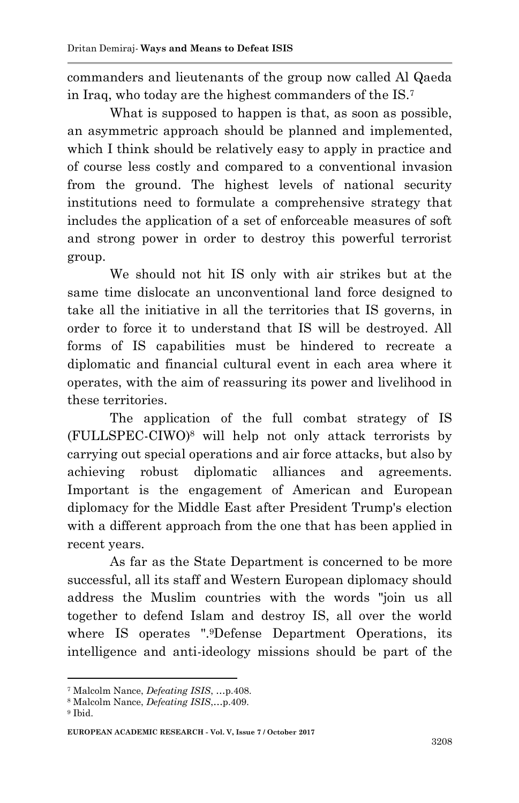commanders and lieutenants of the group now called Al Qaeda in Iraq, who today are the highest commanders of the IS.<sup>7</sup>

What is supposed to happen is that, as soon as possible, an asymmetric approach should be planned and implemented, which I think should be relatively easy to apply in practice and of course less costly and compared to a conventional invasion from the ground. The highest levels of national security institutions need to formulate a comprehensive strategy that includes the application of a set of enforceable measures of soft and strong power in order to destroy this powerful terrorist group.

We should not hit IS only with air strikes but at the same time dislocate an unconventional land force designed to take all the initiative in all the territories that IS governs, in order to force it to understand that IS will be destroyed. All forms of IS capabilities must be hindered to recreate a diplomatic and financial cultural event in each area where it operates, with the aim of reassuring its power and livelihood in these territories.

The application of the full combat strategy of IS (FULLSPEC-CIWO)<sup>8</sup> will help not only attack terrorists by carrying out special operations and air force attacks, but also by achieving robust diplomatic alliances and agreements. Important is the engagement of American and European diplomacy for the Middle East after President Trump's election with a different approach from the one that has been applied in recent years.

As far as the State Department is concerned to be more successful, all its staff and Western European diplomacy should address the Muslim countries with the words "join us all together to defend Islam and destroy IS, all over the world where IS operates ".9Defense Department Operations, its intelligence and anti-ideology missions should be part of the

<sup>7</sup> Malcolm Nance, *Defeating ISIS*, …p.408.

<sup>8</sup> Malcolm Nance, *Defeating ISIS*,…p.409.

<sup>9</sup> Ibid.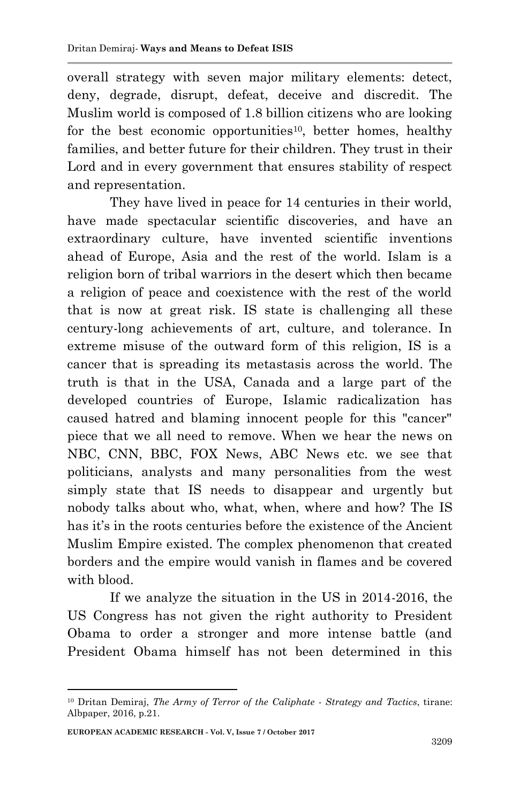overall strategy with seven major military elements: detect, deny, degrade, disrupt, defeat, deceive and discredit. The Muslim world is composed of 1.8 billion citizens who are looking for the best economic opportunities<sup>10</sup>, better homes, healthy families, and better future for their children. They trust in their Lord and in every government that ensures stability of respect and representation.

They have lived in peace for 14 centuries in their world, have made spectacular scientific discoveries, and have an extraordinary culture, have invented scientific inventions ahead of Europe, Asia and the rest of the world. Islam is a religion born of tribal warriors in the desert which then became a religion of peace and coexistence with the rest of the world that is now at great risk. IS state is challenging all these century-long achievements of art, culture, and tolerance. In extreme misuse of the outward form of this religion, IS is a cancer that is spreading its metastasis across the world. The truth is that in the USA, Canada and a large part of the developed countries of Europe, Islamic radicalization has caused hatred and blaming innocent people for this "cancer" piece that we all need to remove. When we hear the news on NBC, CNN, BBC, FOX News, ABC News etc. we see that politicians, analysts and many personalities from the west simply state that IS needs to disappear and urgently but nobody talks about who, what, when, where and how? The IS has it's in the roots centuries before the existence of the Ancient Muslim Empire existed. The complex phenomenon that created borders and the empire would vanish in flames and be covered with blood.

If we analyze the situation in the US in 2014-2016, the US Congress has not given the right authority to President Obama to order a stronger and more intense battle (and President Obama himself has not been determined in this

<sup>10</sup> Dritan Demiraj, *The Army of Terror of the Caliphate - Strategy and Tactics*, tirane: Albpaper, 2016, p.21.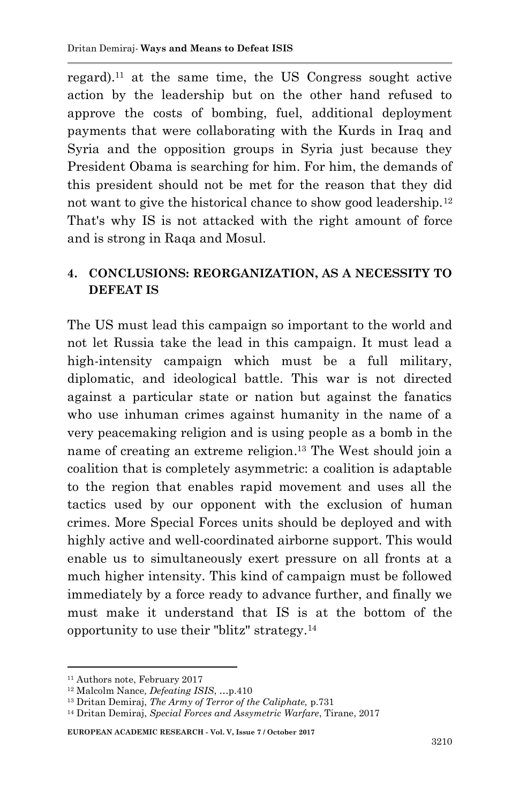regard).<sup>11</sup> at the same time, the US Congress sought active action by the leadership but on the other hand refused to approve the costs of bombing, fuel, additional deployment payments that were collaborating with the Kurds in Iraq and Syria and the opposition groups in Syria just because they President Obama is searching for him. For him, the demands of this president should not be met for the reason that they did not want to give the historical chance to show good leadership.<sup>12</sup> That's why IS is not attacked with the right amount of force and is strong in Raqa and Mosul.

#### **4. CONCLUSIONS: REORGANIZATION, AS A NECESSITY TO DEFEAT IS**

The US must lead this campaign so important to the world and not let Russia take the lead in this campaign. It must lead a high-intensity campaign which must be a full military, diplomatic, and ideological battle. This war is not directed against a particular state or nation but against the fanatics who use inhuman crimes against humanity in the name of a very peacemaking religion and is using people as a bomb in the name of creating an extreme religion. <sup>13</sup> The West should join a coalition that is completely asymmetric: a coalition is adaptable to the region that enables rapid movement and uses all the tactics used by our opponent with the exclusion of human crimes. More Special Forces units should be deployed and with highly active and well-coordinated airborne support. This would enable us to simultaneously exert pressure on all fronts at a much higher intensity. This kind of campaign must be followed immediately by a force ready to advance further, and finally we must make it understand that IS is at the bottom of the opportunity to use their "blitz" strategy.<sup>14</sup>

1

**EUROPEAN ACADEMIC RESEARCH - Vol. V, Issue 7 / October 2017**

<sup>11</sup> Authors note, February 2017

<sup>12</sup> Malcolm Nance*, Defeating ISIS*, …p.410

<sup>13</sup> Dritan Demiraj, *The Army of Terror of the Caliphate,* p.731

<sup>14</sup> Dritan Demiraj, *Special Forces and Assymetric Warfare*, Tirane, 2017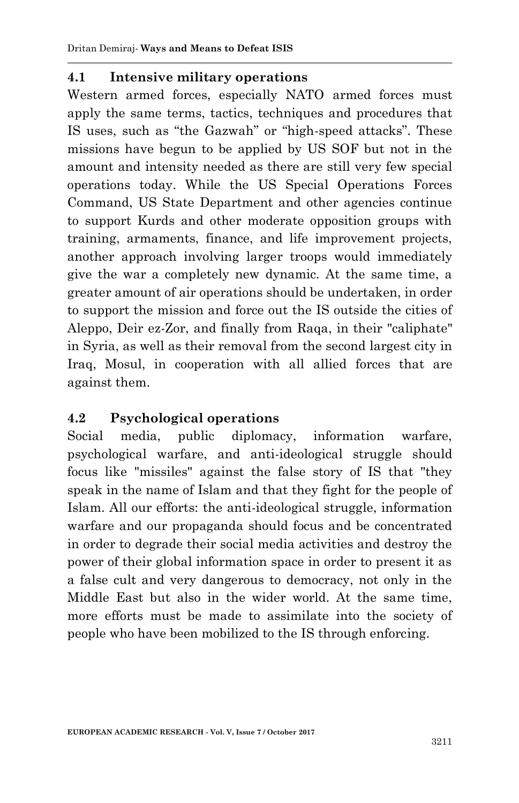### **4.1 Intensive military operations**

Western armed forces, especially NATO armed forces must apply the same terms, tactics, techniques and procedures that IS uses, such as "the Gazwah" or "high-speed attacks". These missions have begun to be applied by US SOF but not in the amount and intensity needed as there are still very few special operations today. While the US Special Operations Forces Command, US State Department and other agencies continue to support Kurds and other moderate opposition groups with training, armaments, finance, and life improvement projects, another approach involving larger troops would immediately give the war a completely new dynamic. At the same time, a greater amount of air operations should be undertaken, in order to support the mission and force out the IS outside the cities of Aleppo, Deir ez-Zor, and finally from Raqa, in their "caliphate" in Syria, as well as their removal from the second largest city in Iraq, Mosul, in cooperation with all allied forces that are against them.

### **4.2 Psychological operations**

Social media, public diplomacy, information warfare, psychological warfare, and anti-ideological struggle should focus like "missiles" against the false story of IS that "they speak in the name of Islam and that they fight for the people of Islam. All our efforts: the anti-ideological struggle, information warfare and our propaganda should focus and be concentrated in order to degrade their social media activities and destroy the power of their global information space in order to present it as a false cult and very dangerous to democracy, not only in the Middle East but also in the wider world. At the same time, more efforts must be made to assimilate into the society of people who have been mobilized to the IS through enforcing.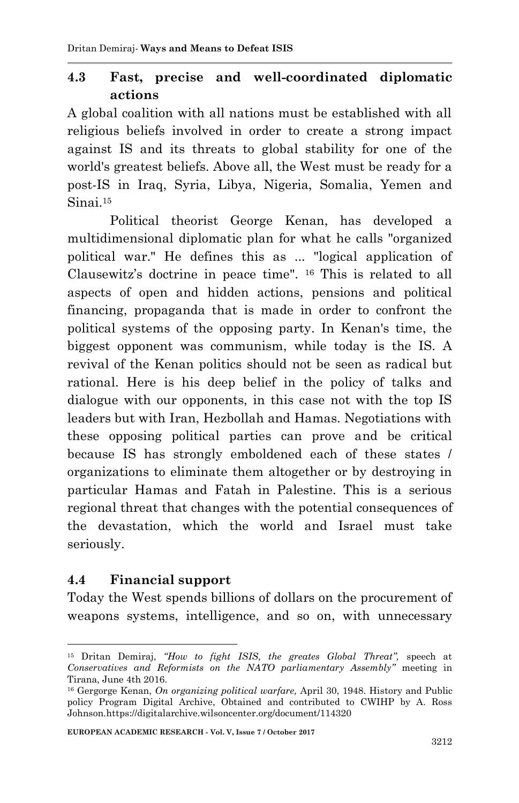### **4.3 Fast, precise and well-coordinated diplomatic actions**

A global coalition with all nations must be established with all religious beliefs involved in order to create a strong impact against IS and its threats to global stability for one of the world's greatest beliefs. Above all, the West must be ready for a post-IS in Iraq, Syria, Libya, Nigeria, Somalia, Yemen and Sinai<sup>15</sup>

Political theorist George Kenan, has developed a multidimensional diplomatic plan for what he calls "organized political war." He defines this as ... "logical application of Clausewitz's doctrine in peace time". <sup>16</sup> This is related to all aspects of open and hidden actions, pensions and political financing, propaganda that is made in order to confront the political systems of the opposing party. In Kenan's time, the biggest opponent was communism, while today is the IS. A revival of the Kenan politics should not be seen as radical but rational. Here is his deep belief in the policy of talks and dialogue with our opponents, in this case not with the top IS leaders but with Iran, Hezbollah and Hamas. Negotiations with these opposing political parties can prove and be critical because IS has strongly emboldened each of these states / organizations to eliminate them altogether or by destroying in particular Hamas and Fatah in Palestine. This is a serious regional threat that changes with the potential consequences of the devastation, which the world and Israel must take seriously.

### **4.4 Financial support**

1

Today the West spends billions of dollars on the procurement of weapons systems, intelligence, and so on, with unnecessary

**EUROPEAN ACADEMIC RESEARCH - Vol. V, Issue 7 / October 2017**

<sup>15</sup> Dritan Demiraj, *"How to fight ISIS, the greates Global Threat",* speech at *Conservatives and Reformists on the NATO parliamentary Assembly"* meeting in Tirana, June 4th 2016.

<sup>16</sup> Gergorge Kenan, *On organizing political warfare,* April 30, 1948. History and Public policy Program Digital Archive, Obtained and contributed to CWIHP by A. Ross Johnson.https://digitalarchive.wilsoncenter.org/document/114320